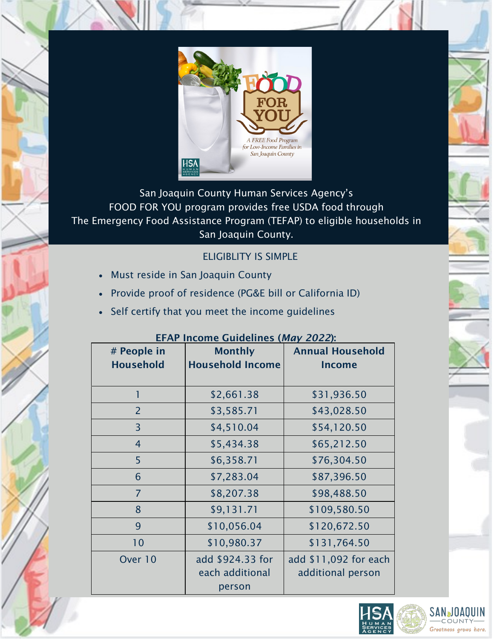

San Joaquin County Human Services Agency's FOOD FOR YOU program provides free USDA food through The Emergency Food Assistance Program (TEFAP) to eligible households in San Joaquin County.

# ELIGIBLITY IS SIMPLE

- Must reside in San Joaquin County
- Provide proof of residence (PG&E bill or California ID)
- Self certify that you meet the income guidelines

| EFAR INCOME GUIDENNES ( <i>MUY 2022)</i> . |                                               |                                            |
|--------------------------------------------|-----------------------------------------------|--------------------------------------------|
| # People in<br><b>Household</b>            | <b>Monthly</b><br><b>Household Income</b>     | <b>Annual Household</b><br><b>Income</b>   |
| 1                                          | \$2,661.38                                    | \$31,936.50                                |
| $\overline{2}$                             | \$3,585.71                                    | \$43,028.50                                |
| 3                                          | \$4,510.04                                    | \$54,120.50                                |
| 4                                          | \$5,434.38                                    | \$65,212.50                                |
| 5                                          | \$6,358.71                                    | \$76,304.50                                |
| 6                                          | \$7,283.04                                    | \$87,396.50                                |
| $\overline{7}$                             | \$8,207.38                                    | \$98,488.50                                |
| 8                                          | \$9,131.71                                    | \$109,580.50                               |
| 9                                          | \$10,056.04                                   | \$120,672.50                               |
| 10                                         | \$10,980.37                                   | \$131,764.50                               |
| Over 10                                    | add \$924.33 for<br>each additional<br>person | add \$11,092 for each<br>additional person |

## EFAP Income Guidelines (*May 2022*):